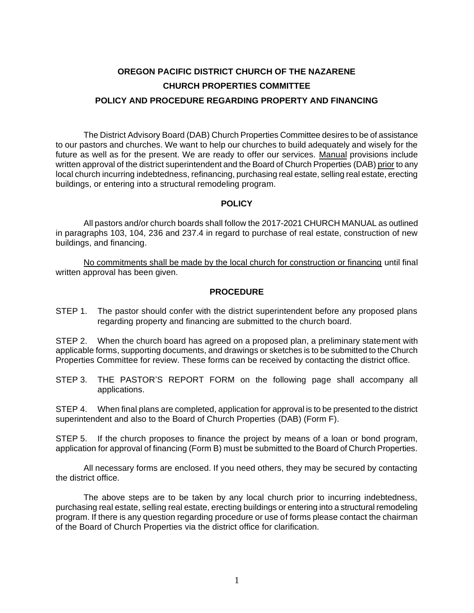# **OREGON PACIFIC DISTRICT CHURCH OF THE NAZARENE CHURCH PROPERTIES COMMITTEE POLICY AND PROCEDURE REGARDING PROPERTY AND FINANCING**

The District Advisory Board (DAB) Church Properties Committee desires to be of assistance to our pastors and churches. We want to help our churches to build adequately and wisely for the future as well as for the present. We are ready to offer our services. Manual provisions include written approval of the district superintendent and the Board of Church Properties (DAB) prior to any local church incurring indebtedness, refinancing, purchasing real estate, selling real estate, erecting buildings, or entering into a structural remodeling program.

#### **POLICY**

All pastors and/or church boards shall follow the 2017-2021 CHURCH MANUAL as outlined in paragraphs 103, 104, 236 and 237.4 in regard to purchase of real estate, construction of new buildings, and financing.

No commitments shall be made by the local church for construction or financing until final written approval has been given.

#### **PROCEDURE**

STEP 1. The pastor should confer with the district superintendent before any proposed plans regarding property and financing are submitted to the church board.

STEP 2. When the church board has agreed on a proposed plan, a preliminary statement with applicable forms, supporting documents, and drawings or sketches is to be submitted to the Church Properties Committee for review. These forms can be received by contacting the district office.

STEP 3. THE PASTOR'S REPORT FORM on the following page shall accompany all applications.

STEP 4. When final plans are completed, application for approval is to be presented to the district superintendent and also to the Board of Church Properties (DAB) (Form F).

STEP 5. If the church proposes to finance the project by means of a loan or bond program, application for approval of financing (Form B) must be submitted to the Board of Church Properties.

All necessary forms are enclosed. If you need others, they may be secured by contacting the district office.

The above steps are to be taken by any local church prior to incurring indebtedness, purchasing real estate, selling real estate, erecting buildings or entering into a structural remodeling program. If there is any question regarding procedure or use of forms please contact the chairman of the Board of Church Properties via the district office for clarification.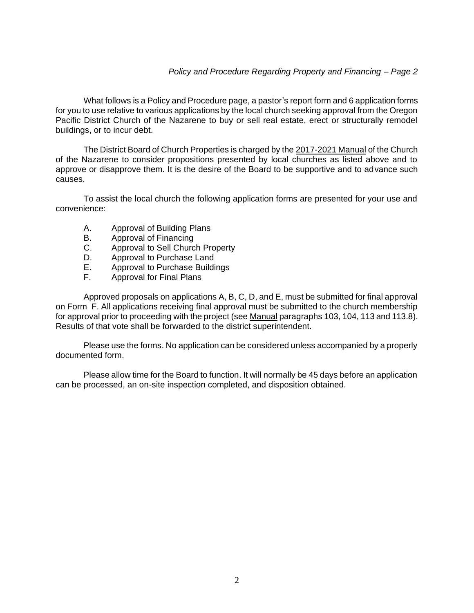What follows is a Policy and Procedure page, a pastor's report form and 6 application forms for you to use relative to various applications by the local church seeking approval from the Oregon Pacific District Church of the Nazarene to buy or sell real estate, erect or structurally remodel buildings, or to incur debt.

The District Board of Church Properties is charged by the 2017-2021 Manual of the Church of the Nazarene to consider propositions presented by local churches as listed above and to approve or disapprove them. It is the desire of the Board to be supportive and to advance such causes.

To assist the local church the following application forms are presented for your use and convenience:

- A. Approval of Building Plans
- B. Approval of Financing
- C. Approval to Sell Church Property
- D. Approval to Purchase Land
- E. Approval to Purchase Buildings
- F. Approval for Final Plans

Approved proposals on applications A, B, C, D, and E, must be submitted for final approval on Form F. All applications receiving final approval must be submitted to the church membership for approval prior to proceeding with the project (see Manual paragraphs 103, 104, 113 and 113.8). Results of that vote shall be forwarded to the district superintendent.

Please use the forms. No application can be considered unless accompanied by a properly documented form.

Please allow time for the Board to function. It will normally be 45 days before an application can be processed, an on-site inspection completed, and disposition obtained.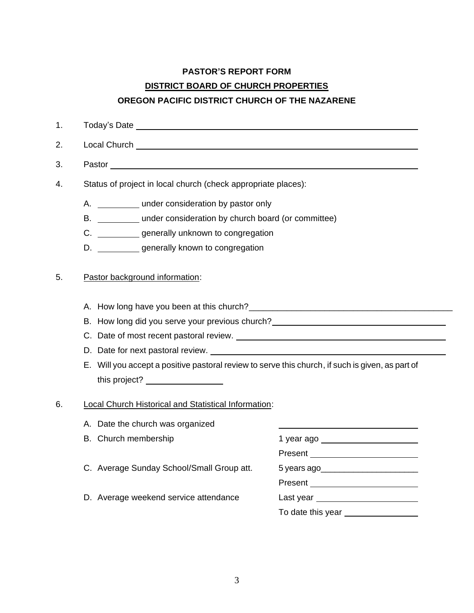# **PASTOR'S REPORT FORM DISTRICT BOARD OF CHURCH PROPERTIES OREGON PACIFIC DISTRICT CHURCH OF THE NAZARENE**

1. Today's Date 2. Local Church 3. Pastor

4. Status of project in local church (check appropriate places):

- A. under consideration by pastor only
- B. under consideration by church board (or committee)
- C. \_\_\_\_\_\_\_\_\_\_\_ generally unknown to congregation
- D. \_\_\_\_\_\_\_\_\_\_\_ generally known to congregation

#### 5. Pastor background information:

- A. How long have you been at this church?\_\_\_\_\_\_\_\_\_\_\_\_\_\_\_\_\_\_\_\_\_\_\_\_\_\_\_\_\_\_\_\_\_\_\_\_\_\_\_\_\_\_\_
- B. How long did you serve your previous church? **EXACTER** 2004 2014 2015
- C. Date of most recent pastoral review.
- D. Date for next pastoral review.
- E. Will you accept a positive pastoral review to serve this church, if such is given, as part of this project?

#### 6. Local Church Historical and Statistical Information:

- A. Date the church was organized
- 
- C. Average Sunday School/Small Group att. 5 years ago\_\_\_\_\_\_\_\_\_\_\_\_\_\_\_\_\_\_\_\_\_\_\_\_\_\_\_
- D. Average weekend service attendance Last year

B. Church membership 1 year ago Present **Present** Present

To date this year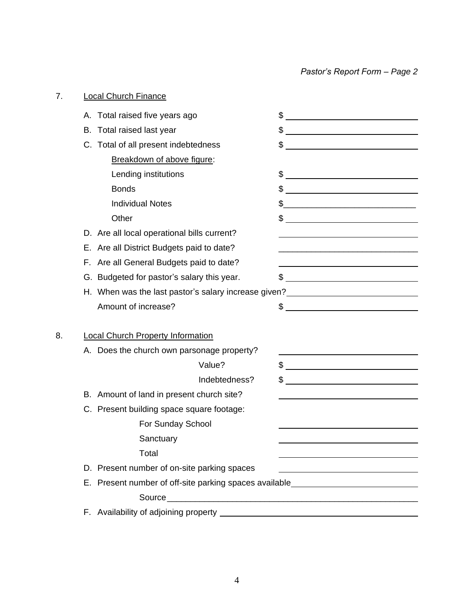# 7. Local Church Finance A. Total raised five years ago  $\frac{1}{2}$   $\frac{1}{2}$   $\frac{1}{2}$   $\frac{1}{2}$   $\frac{1}{2}$   $\frac{1}{2}$   $\frac{1}{2}$   $\frac{1}{2}$   $\frac{1}{2}$   $\frac{1}{2}$   $\frac{1}{2}$   $\frac{1}{2}$   $\frac{1}{2}$   $\frac{1}{2}$   $\frac{1}{2}$   $\frac{1}{2}$   $\frac{1}{2}$   $\frac{1}{2}$   $\frac{1}{2}$  B. Total raised last year  $\sim$  \$ C. Total of all present indebtedness  $\qquad \qquad \text{\$}$ Breakdown of above figure: Lending institutions \$ Bonds \$ Individual Notes  $\qquad \qquad \text{\rm S}$ Other \$ D. Are all local operational bills current? E. Are all District Budgets paid to date? F. Are all General Budgets paid to date? G. Budgeted for pastor's salary this year.  $\$\$ H. When was the last pastor's salary increase given? Amount of increase?  $\qquad \qquad \text{``} \qquad \qquad \text{``} \qquad \qquad \text{``} \qquad \qquad \text{``} \qquad \text{``} \qquad \text{``} \qquad \text{``} \qquad \text{``} \qquad \text{``} \qquad \text{``} \qquad \text{``} \qquad \text{``} \qquad \text{``} \qquad \text{``} \qquad \text{``} \qquad \text{``} \qquad \text{``} \qquad \text{``} \qquad \text{``} \qquad \text{``} \qquad \text{``} \qquad \text{``} \qquad \text{``} \qquad \text$ 8. Local Church Property Information A. Does the church own parsonage property? Value? \$ Indebtedness? \$ B. Amount of land in present church site? C. Present building space square footage: For Sunday School **Sanctuary** Total D. Present number of on-site parking spaces E. Present number of off-site parking spaces available  $Source \fbox{1}$ F. Availability of adjoining property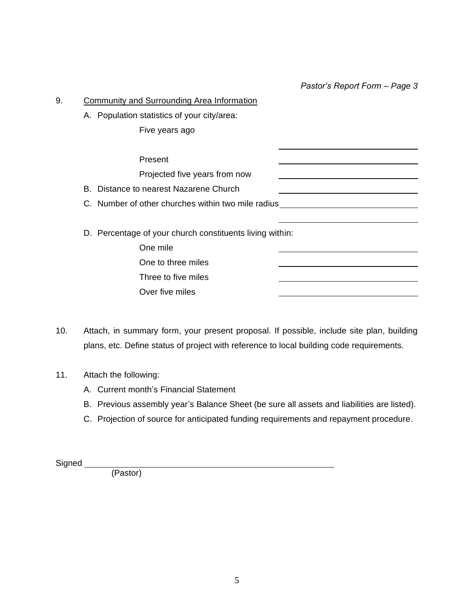*Pastor's Report Form – Page 3*

| 9. | <b>Community and Surrounding Area Information</b>        |  |
|----|----------------------------------------------------------|--|
|    | A. Population statistics of your city/area:              |  |
|    | Five years ago                                           |  |
|    | Present                                                  |  |
|    | Projected five years from now                            |  |
|    | B. Distance to nearest Nazarene Church                   |  |
|    | C. Number of other churches within two mile radius       |  |
|    | D. Percentage of your church constituents living within: |  |
|    | One mile                                                 |  |
|    | One to three miles                                       |  |
|    | Three to five miles                                      |  |
|    | Over five miles                                          |  |

10. Attach, in summary form, your present proposal. If possible, include site plan, building plans, etc. Define status of project with reference to local building code requirements.

#### 11. Attach the following:

- A. Current month's Financial Statement
- B. Previous assembly year's Balance Sheet (be sure all assets and liabilities are listed).
- C. Projection of source for anticipated funding requirements and repayment procedure.

Signed

(Pastor)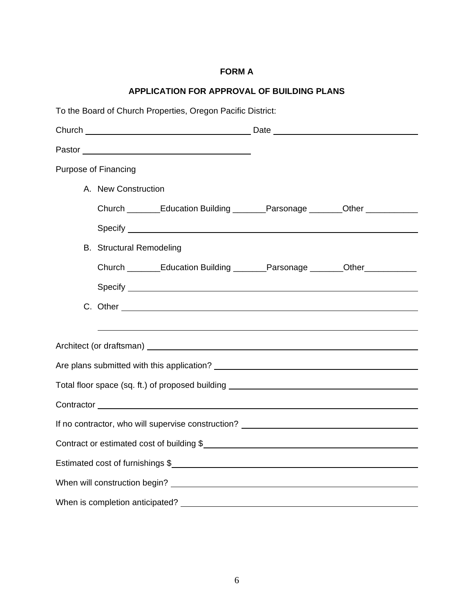## **FORM A**

## **APPLICATION FOR APPROVAL OF BUILDING PLANS**

| To the Board of Church Properties, Oregon Pacific District: |                                                                                                                                                                                                                                |  |  |  |  |
|-------------------------------------------------------------|--------------------------------------------------------------------------------------------------------------------------------------------------------------------------------------------------------------------------------|--|--|--|--|
|                                                             |                                                                                                                                                                                                                                |  |  |  |  |
|                                                             |                                                                                                                                                                                                                                |  |  |  |  |
|                                                             | <b>Purpose of Financing</b>                                                                                                                                                                                                    |  |  |  |  |
|                                                             | A. New Construction                                                                                                                                                                                                            |  |  |  |  |
|                                                             | Church ________Education Building _______Parsonage _______Other ___________                                                                                                                                                    |  |  |  |  |
|                                                             |                                                                                                                                                                                                                                |  |  |  |  |
|                                                             | <b>B.</b> Structural Remodeling                                                                                                                                                                                                |  |  |  |  |
|                                                             | Church _______Education Building _______Parsonage _______Other __________                                                                                                                                                      |  |  |  |  |
|                                                             | Specify experience of the state of the state of the state of the state of the state of the state of the state of the state of the state of the state of the state of the state of the state of the state of the state of the s |  |  |  |  |
|                                                             |                                                                                                                                                                                                                                |  |  |  |  |
|                                                             |                                                                                                                                                                                                                                |  |  |  |  |
|                                                             |                                                                                                                                                                                                                                |  |  |  |  |
|                                                             |                                                                                                                                                                                                                                |  |  |  |  |
|                                                             | Total floor space (sq. ft.) of proposed building _______________________________                                                                                                                                               |  |  |  |  |
|                                                             |                                                                                                                                                                                                                                |  |  |  |  |
|                                                             | If no contractor, who will supervise construction? _____________________________                                                                                                                                               |  |  |  |  |
|                                                             | Contract or estimated cost of building \$                                                                                                                                                                                      |  |  |  |  |
|                                                             | Estimated cost of furnishings \$                                                                                                                                                                                               |  |  |  |  |
|                                                             |                                                                                                                                                                                                                                |  |  |  |  |
|                                                             | When is completion anticipated?                                                                                                                                                                                                |  |  |  |  |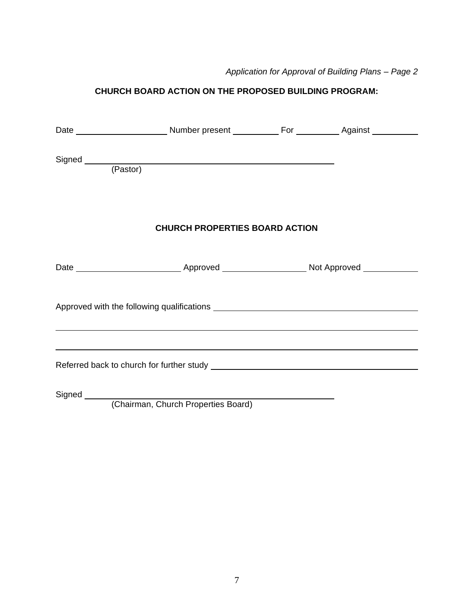## **CHURCH BOARD ACTION ON THE PROPOSED BUILDING PROGRAM:**

| Signed (Pastor) |                                       |  |  |  |  |
|-----------------|---------------------------------------|--|--|--|--|
|                 | <b>CHURCH PROPERTIES BOARD ACTION</b> |  |  |  |  |
|                 |                                       |  |  |  |  |
|                 |                                       |  |  |  |  |
|                 |                                       |  |  |  |  |
|                 | (Chairman, Church Proportion Board)   |  |  |  |  |

(Chairman, Church Properties Board)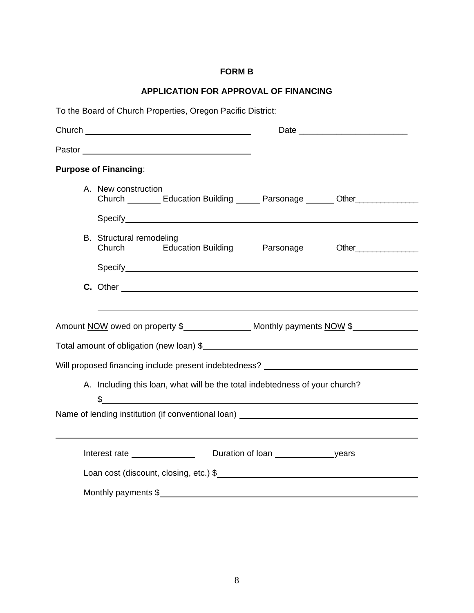## **FORM B**

## **APPLICATION FOR APPROVAL OF FINANCING**

| To the Board of Church Properties, Oregon Pacific District:                                                         |  |  |  |  |  |
|---------------------------------------------------------------------------------------------------------------------|--|--|--|--|--|
| Date                                                                                                                |  |  |  |  |  |
|                                                                                                                     |  |  |  |  |  |
| <b>Purpose of Financing:</b>                                                                                        |  |  |  |  |  |
| A. New construction<br>Church Education Building Parsonage Cher                                                     |  |  |  |  |  |
|                                                                                                                     |  |  |  |  |  |
| <b>B.</b> Structural remodeling<br>Church _________ Education Building ______ Parsonage _______ Other______________ |  |  |  |  |  |
|                                                                                                                     |  |  |  |  |  |
|                                                                                                                     |  |  |  |  |  |
|                                                                                                                     |  |  |  |  |  |
| Amount NOW owed on property \$ ________________ Monthly payments NOW \$                                             |  |  |  |  |  |
| Total amount of obligation (new loan) \$                                                                            |  |  |  |  |  |
| Will proposed financing include present indebtedness? __________________________                                    |  |  |  |  |  |
| A. Including this loan, what will be the total indebtedness of your church?<br>$\frac{1}{2}$                        |  |  |  |  |  |
| Name of lending institution (if conventional loan) _____________________________                                    |  |  |  |  |  |
|                                                                                                                     |  |  |  |  |  |
| Interest rate                                                                                                       |  |  |  |  |  |
| Loan cost (discount, closing, etc.) \$                                                                              |  |  |  |  |  |
| Monthly payments \$                                                                                                 |  |  |  |  |  |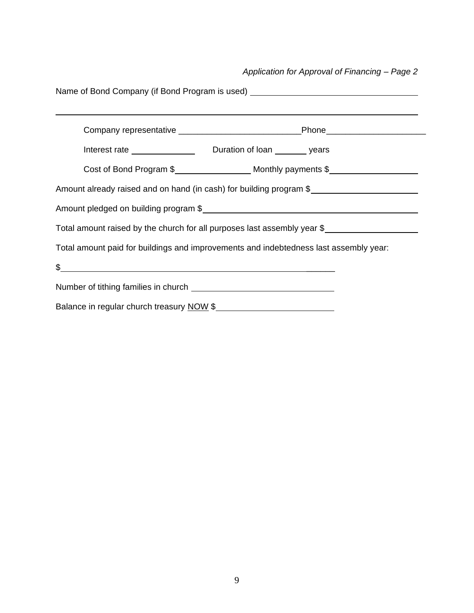*Application for Approval of Financing – Page 2*

| Name of Bond Company (if Bond Program is used) _________________________________ |                                                                                       |  |  |  |
|----------------------------------------------------------------------------------|---------------------------------------------------------------------------------------|--|--|--|
|                                                                                  |                                                                                       |  |  |  |
|                                                                                  |                                                                                       |  |  |  |
|                                                                                  |                                                                                       |  |  |  |
|                                                                                  | Amount already raised and on hand (in cash) for building program \$                   |  |  |  |
|                                                                                  |                                                                                       |  |  |  |
|                                                                                  | Total amount raised by the church for all purposes last assembly year \$              |  |  |  |
|                                                                                  | Total amount paid for buildings and improvements and indebtedness last assembly year: |  |  |  |
| $\frac{1}{2}$                                                                    |                                                                                       |  |  |  |
|                                                                                  |                                                                                       |  |  |  |
| Balance in regular church treasury NOW \$                                        |                                                                                       |  |  |  |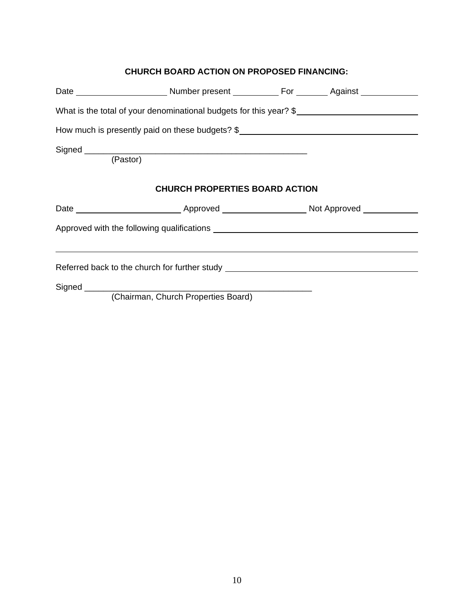### **CHURCH BOARD ACTION ON PROPOSED FINANCING:**

| What is the total of your denominational budgets for this year? \$                |                                       |  |  |
|-----------------------------------------------------------------------------------|---------------------------------------|--|--|
| How much is presently paid on these budgets? \$__________________________________ |                                       |  |  |
| (Pastor)                                                                          |                                       |  |  |
|                                                                                   | <b>CHURCH PROPERTIES BOARD ACTION</b> |  |  |
|                                                                                   |                                       |  |  |
|                                                                                   |                                       |  |  |
|                                                                                   |                                       |  |  |
| Referred back to the church for further study __________________________________  |                                       |  |  |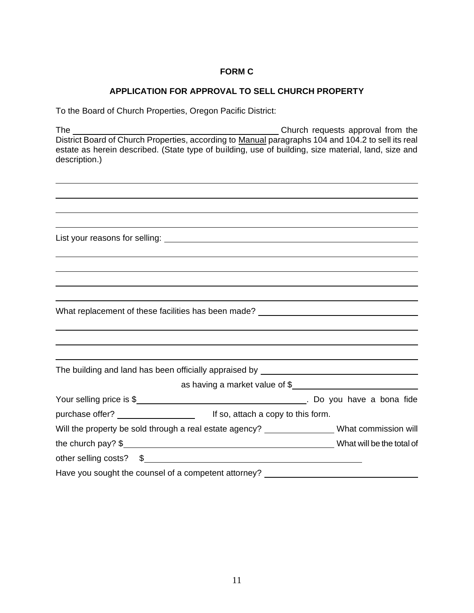#### **FORM C**

#### **APPLICATION FOR APPROVAL TO SELL CHURCH PROPERTY**

To the Board of Church Properties, Oregon Pacific District:

The Church requests approval from the District Board of Church Properties, according to Manual paragraphs 104 and 104.2 to sell its real estate as herein described. (State type of building, use of building, size material, land, size and description.)

| What replacement of these facilities has been made? ____________________________             |  |
|----------------------------------------------------------------------------------------------|--|
|                                                                                              |  |
|                                                                                              |  |
|                                                                                              |  |
|                                                                                              |  |
| as having a market value of \$                                                               |  |
|                                                                                              |  |
|                                                                                              |  |
| Will the property be sold through a real estate agency? ________________What commission will |  |
|                                                                                              |  |
| other selling costs? \$                                                                      |  |
| Have you sought the counsel of a competent attorney? ___________________________             |  |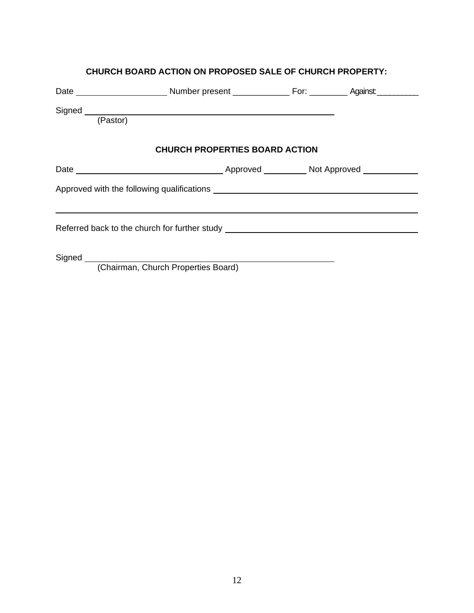| (Pastor) | Signed experience and the state of the state of the state of the state of the state of the state of the state of the state of the state of the state of the state of the state of the state of the state of the state of the s |  |  |
|----------|--------------------------------------------------------------------------------------------------------------------------------------------------------------------------------------------------------------------------------|--|--|
|          | <b>CHURCH PROPERTIES BOARD ACTION</b>                                                                                                                                                                                          |  |  |
|          |                                                                                                                                                                                                                                |  |  |
|          |                                                                                                                                                                                                                                |  |  |
|          | Referred back to the church for further study __________________________________                                                                                                                                               |  |  |
|          | (Chairman, Church Properties Board)                                                                                                                                                                                            |  |  |

**CHURCH BOARD ACTION ON PROPOSED SALE OF CHURCH PROPERTY:**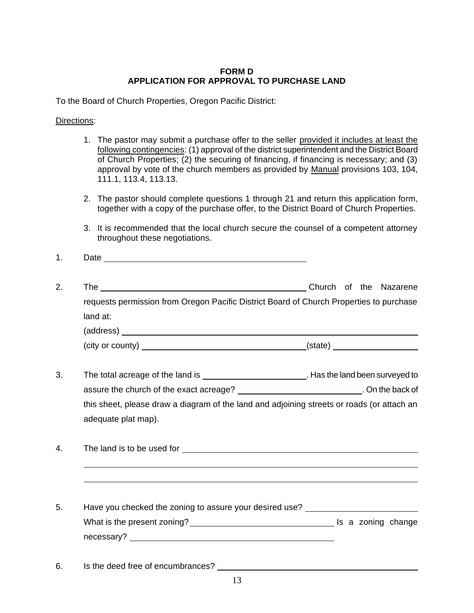#### **FORM D APPLICATION FOR APPROVAL TO PURCHASE LAND**

To the Board of Church Properties, Oregon Pacific District:

Directions:

- 1. The pastor may submit a purchase offer to the seller provided it includes at least the following contingencies: (1) approval of the district superintendent and the District Board of Church Properties; (2) the securing of financing, if financing is necessary; and (3) approval by vote of the church members as provided by Manual provisions 103, 104, 111.1, 113.4, 113.13.
- 2. The pastor should complete questions 1 through 21 and return this application form, together with a copy of the purchase offer, to the District Board of Church Properties.
- 3. It is recommended that the local church secure the counsel of a competent attorney throughout these negotiations.
- 1. Date
- 2. The Church of the Nazarene requests permission from Oregon Pacific District Board of Church Properties to purchase land at: (address) (city or county) (state)
- 3. The total acreage of the land is . Has the land been surveyed to assure the church of the exact acreage? \_\_\_\_\_\_\_\_\_\_\_\_\_\_\_\_\_\_\_\_\_\_\_\_\_\_\_\_\_\_\_\_\_. On the back of this sheet, please draw a diagram of the land and adjoining streets or roads (or attach an adequate plat map).
- 4. The land is to be used for
- 5. Have you checked the zoning to assure your desired use? What is the present zoning? Is a zoning change necessary? **Example 20** No. 2014 12:30:30 No. 2014 12:30:30 No. 2014 12:30:30 No. 2014 12:30:30 No. 2014 12:30:30
- 6. Is the deed free of encumbrances?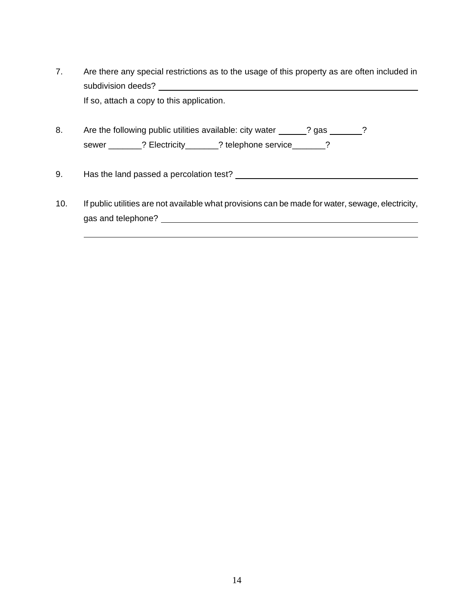- 7. Are there any special restrictions as to the usage of this property as are often included in subdivision deeds? If so, attach a copy to this application.
- 8. Are the following public utilities available: city water \_\_\_\_\_\_? gas \_\_\_\_\_\_\_? sewer \_\_\_\_\_\_\_? Electricity\_\_\_\_\_\_? telephone service\_\_\_\_\_\_?
- 9. Has the land passed a percolation test?
- 10. If public utilities are not available what provisions can be made for water, sewage, electricity, gas and telephone?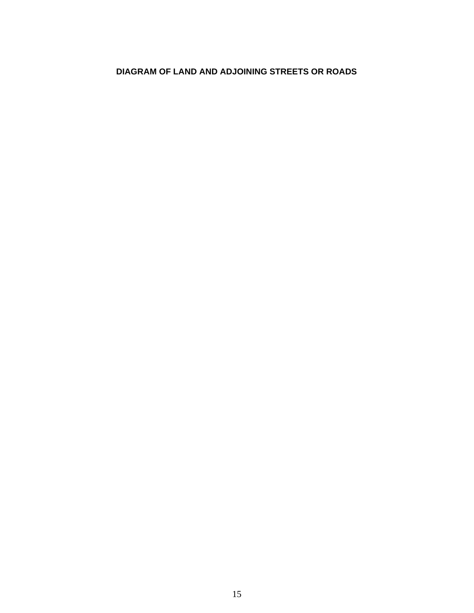## **DIAGRAM OF LAND AND ADJOINING STREETS OR ROADS**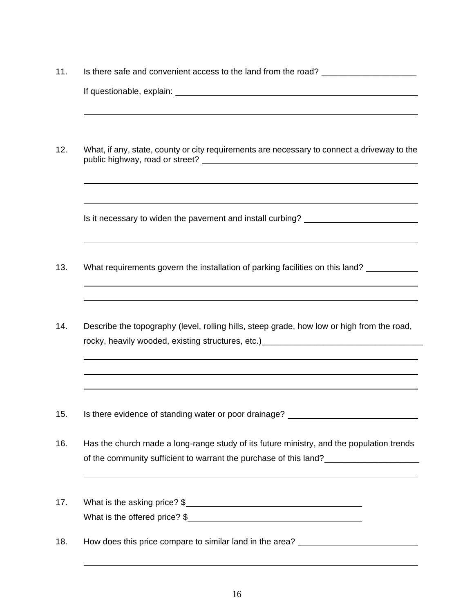- 11. Is there safe and convenient access to the land from the road? If questionable, explain: 12. What, if any, state, county or city requirements are necessary to connect a driveway to the public highway, road or street? Is it necessary to widen the pavement and install curbing? \_\_\_\_\_\_\_\_\_\_\_\_\_\_\_\_\_\_\_\_\_ 13. What requirements govern the installation of parking facilities on this land? 14. Describe the topography (level, rolling hills, steep grade, how low or high from the road, rocky, heavily wooded, existing structures, etc.)\_\_\_\_\_\_\_\_\_\_\_\_\_\_\_\_\_\_\_\_\_\_\_\_\_\_\_\_\_\_\_
- 15. Is there evidence of standing water or poor drainage?
- 16. Has the church made a long-range study of its future ministry, and the population trends of the community sufficient to warrant the purchase of this land?\_\_\_\_\_\_\_\_\_\_\_\_\_\_\_\_\_\_\_\_\_
- 17. What is the asking price? \$ What is the offered price?  $\frac{1}{2}$
- 18. How does this price compare to similar land in the area?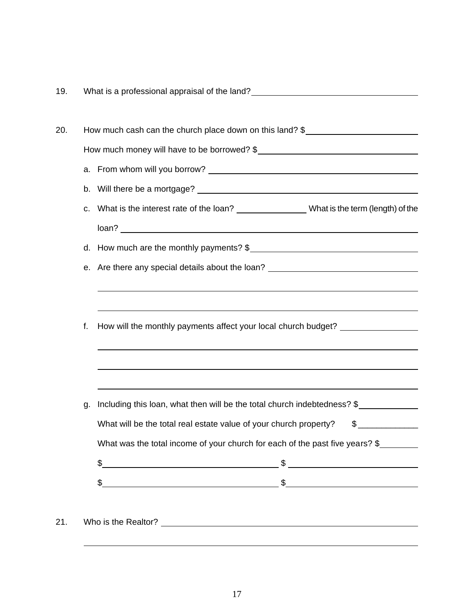| 19. |                                                                                  | What is a professional appraisal of the land?<br><u> What is a professional appraisal of the land?</u>                                                                                                                                                                                                              |  |  |  |  |
|-----|----------------------------------------------------------------------------------|---------------------------------------------------------------------------------------------------------------------------------------------------------------------------------------------------------------------------------------------------------------------------------------------------------------------|--|--|--|--|
|     |                                                                                  |                                                                                                                                                                                                                                                                                                                     |  |  |  |  |
| 20. |                                                                                  | How much cash can the church place down on this land? $\frac{1}{2}$                                                                                                                                                                                                                                                 |  |  |  |  |
|     |                                                                                  |                                                                                                                                                                                                                                                                                                                     |  |  |  |  |
|     |                                                                                  |                                                                                                                                                                                                                                                                                                                     |  |  |  |  |
|     |                                                                                  |                                                                                                                                                                                                                                                                                                                     |  |  |  |  |
|     |                                                                                  | c. What is the interest rate of the loan? _______________What is the term (length) of the                                                                                                                                                                                                                           |  |  |  |  |
|     |                                                                                  |                                                                                                                                                                                                                                                                                                                     |  |  |  |  |
|     |                                                                                  | d. How much are the monthly payments? \$                                                                                                                                                                                                                                                                            |  |  |  |  |
|     | e. Are there any special details about the loan? _______________________________ |                                                                                                                                                                                                                                                                                                                     |  |  |  |  |
|     |                                                                                  |                                                                                                                                                                                                                                                                                                                     |  |  |  |  |
|     |                                                                                  |                                                                                                                                                                                                                                                                                                                     |  |  |  |  |
|     | f.                                                                               | How will the monthly payments affect your local church budget? _________________                                                                                                                                                                                                                                    |  |  |  |  |
|     |                                                                                  | ,我们也不会有什么。""我们的人,我们也不会有什么?""我们的人,我们也不会有什么?""我们的人,我们也不会有什么?""我们的人,我们也不会有什么?""我们的人                                                                                                                                                                                                                                    |  |  |  |  |
|     |                                                                                  | ,我们也不能在这里的时候,我们也不能在这里的时候,我们也不能会不能会不能会不能会不能会不能会不能会不能会不能会不能会。<br>第2012章 我们的时候,我们的时候,我们的时候,我们的时候,我们的时候,我们的时候,我们的时候,我们的时候,我们的时候,我们的时候,我们的时候,我们的时候,我                                                                                                                                                                     |  |  |  |  |
|     |                                                                                  |                                                                                                                                                                                                                                                                                                                     |  |  |  |  |
|     | g.                                                                               | Including this loan, what then will be the total church indebtedness? \$                                                                                                                                                                                                                                            |  |  |  |  |
|     |                                                                                  | $\frac{1}{2}$<br>What will be the total real estate value of your church property?                                                                                                                                                                                                                                  |  |  |  |  |
|     |                                                                                  | What was the total income of your church for each of the past five years? \$                                                                                                                                                                                                                                        |  |  |  |  |
|     |                                                                                  | $\frac{1}{2}$<br>$\frac{1}{2}$                                                                                                                                                                                                                                                                                      |  |  |  |  |
|     |                                                                                  | $\frac{1}{2}$ $\frac{1}{2}$ $\frac{1}{2}$ $\frac{1}{2}$ $\frac{1}{2}$ $\frac{1}{2}$ $\frac{1}{2}$ $\frac{1}{2}$ $\frac{1}{2}$ $\frac{1}{2}$ $\frac{1}{2}$ $\frac{1}{2}$ $\frac{1}{2}$ $\frac{1}{2}$ $\frac{1}{2}$ $\frac{1}{2}$ $\frac{1}{2}$ $\frac{1}{2}$ $\frac{1}{2}$ $\frac{1}{2}$ $\frac{1}{2}$ $\frac{1}{2}$ |  |  |  |  |
|     |                                                                                  |                                                                                                                                                                                                                                                                                                                     |  |  |  |  |
| 21. |                                                                                  |                                                                                                                                                                                                                                                                                                                     |  |  |  |  |
|     |                                                                                  |                                                                                                                                                                                                                                                                                                                     |  |  |  |  |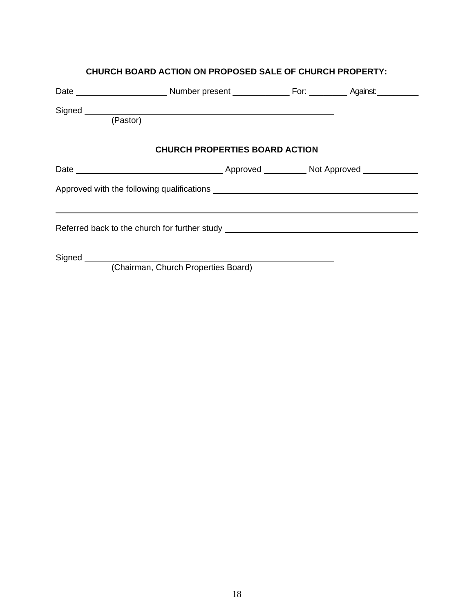| Signed Learning and Contract and Contract and Contract and Contract and Contract and Contract and Contract and<br>(Pastor) |                                       |  |  |  |  |  |
|----------------------------------------------------------------------------------------------------------------------------|---------------------------------------|--|--|--|--|--|
|                                                                                                                            |                                       |  |  |  |  |  |
|                                                                                                                            | <b>CHURCH PROPERTIES BOARD ACTION</b> |  |  |  |  |  |
|                                                                                                                            |                                       |  |  |  |  |  |
|                                                                                                                            |                                       |  |  |  |  |  |
|                                                                                                                            |                                       |  |  |  |  |  |
| Referred back to the church for further study __________________________________                                           |                                       |  |  |  |  |  |
|                                                                                                                            |                                       |  |  |  |  |  |
|                                                                                                                            | (Chairman, Church Properties Board)   |  |  |  |  |  |

### **CHURCH BOARD ACTION ON PROPOSED SALE OF CHURCH PROPERTY:**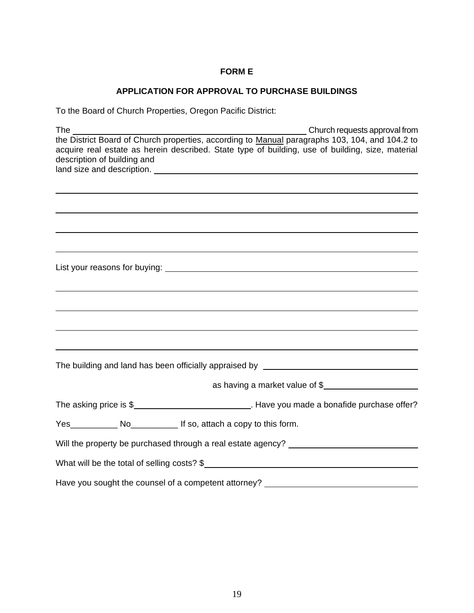#### **FORM E**

## **APPLICATION FOR APPROVAL TO PURCHASE BUILDINGS**

To the Board of Church Properties, Oregon Pacific District:

| Church requests approval from<br>The contract of the contract of the contract of the contract of the contract of the contract of the contract of the contract of the contract of the contract of the contract of the contract of the contract of the contract o |
|-----------------------------------------------------------------------------------------------------------------------------------------------------------------------------------------------------------------------------------------------------------------|
| the District Board of Church properties, according to Manual paragraphs 103, 104, and 104.2 to<br>acquire real estate as herein described. State type of building, use of building, size, material<br>description of building and                               |
|                                                                                                                                                                                                                                                                 |
|                                                                                                                                                                                                                                                                 |
|                                                                                                                                                                                                                                                                 |
|                                                                                                                                                                                                                                                                 |
|                                                                                                                                                                                                                                                                 |
|                                                                                                                                                                                                                                                                 |
|                                                                                                                                                                                                                                                                 |
|                                                                                                                                                                                                                                                                 |
|                                                                                                                                                                                                                                                                 |
|                                                                                                                                                                                                                                                                 |
|                                                                                                                                                                                                                                                                 |
|                                                                                                                                                                                                                                                                 |
|                                                                                                                                                                                                                                                                 |
|                                                                                                                                                                                                                                                                 |
|                                                                                                                                                                                                                                                                 |
| The building and land has been officially appraised by __________________________                                                                                                                                                                               |
| as having a market value of \$                                                                                                                                                                                                                                  |
| The asking price is \$_______________________________. Have you made a bonafide purchase offer?                                                                                                                                                                 |
| Yes______________ No_______________ If so, attach a copy to this form.                                                                                                                                                                                          |
| Will the property be purchased through a real estate agency? ____________________                                                                                                                                                                               |
| What will be the total of selling costs? \$                                                                                                                                                                                                                     |
| Have you sought the counsel of a competent attorney? ___________________________                                                                                                                                                                                |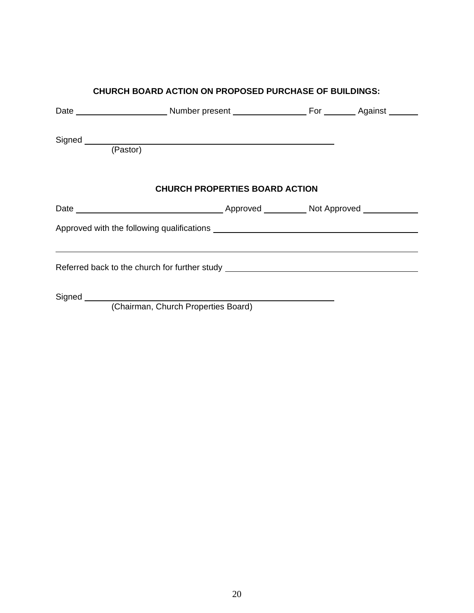| <b>CHURCH BOARD ACTION ON PROPOSED PURCHASE OF BUILDINGS:</b>                                |                                       |  |  |  |  |  |
|----------------------------------------------------------------------------------------------|---------------------------------------|--|--|--|--|--|
|                                                                                              |                                       |  |  |  |  |  |
|                                                                                              |                                       |  |  |  |  |  |
| Signed (Pastor)                                                                              |                                       |  |  |  |  |  |
|                                                                                              | <b>CHURCH PROPERTIES BOARD ACTION</b> |  |  |  |  |  |
|                                                                                              |                                       |  |  |  |  |  |
| Approved with the following qualifications <b>Approved With the following qualifications</b> |                                       |  |  |  |  |  |
| Referred back to the church for further study __________________________________             |                                       |  |  |  |  |  |
|                                                                                              | (Chairman, Church Properties Board)   |  |  |  |  |  |